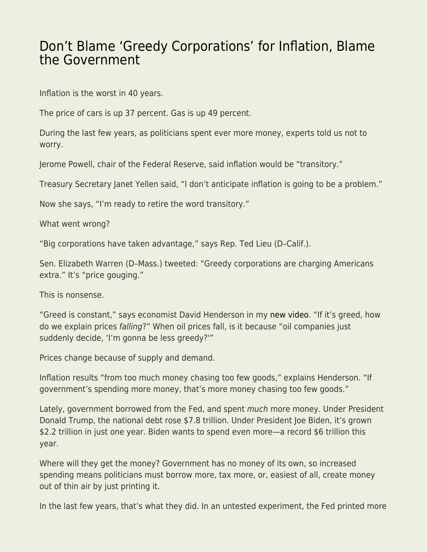## [Don't Blame 'Greedy Corporations' for Inflation, Blame](https://everything-voluntary.com/dont-blame-greedy-corporations-for-inflation-blame-the-government) [the Government](https://everything-voluntary.com/dont-blame-greedy-corporations-for-inflation-blame-the-government)

Inflation is the worst in 40 years.

The price of cars is up 37 percent. Gas is up 49 percent.

During the last few years, as politicians spent ever more money, experts told us not to worry.

Jerome Powell, chair of the Federal Reserve, said inflation would be "transitory."

Treasury Secretary Janet Yellen said, "I don't anticipate inflation is going to be a problem."

Now she says, "I'm ready to retire the word transitory."

What went wrong?

"Big corporations have taken advantage," says Rep. Ted Lieu (D–Calif.).

Sen. Elizabeth Warren (D–Mass.) tweeted: "Greedy corporations are charging Americans extra." It's "price gouging."

This is nonsense.

"Greed is constant," says economist David Henderson in my [new video.](https://www.youtube.com/watch?v=J6RVS2tXUxM&feature=youtu.be) "If it's greed, how do we explain prices falling?" When oil prices fall, is it because "oil companies just suddenly decide, 'I'm gonna be less greedy?'"

Prices change because of supply and demand.

Inflation results "from too much money chasing too few goods," explains Henderson. "If government's spending more money, that's more money chasing too few goods."

Lately, government borrowed from the Fed, and spent much more money. Under President Donald Trump, the national debt rose \$7.8 trillion. Under President Joe Biden, it's grown \$2.2 trillion in just one year. Biden wants to spend even more—a record \$6 trillion this year.

Where will they get the money? Government has no money of its own, so increased spending means politicians must borrow more, tax more, or, easiest of all, create money out of thin air by just printing it.

In the last few years, that's what they did. In an untested experiment, the Fed printed more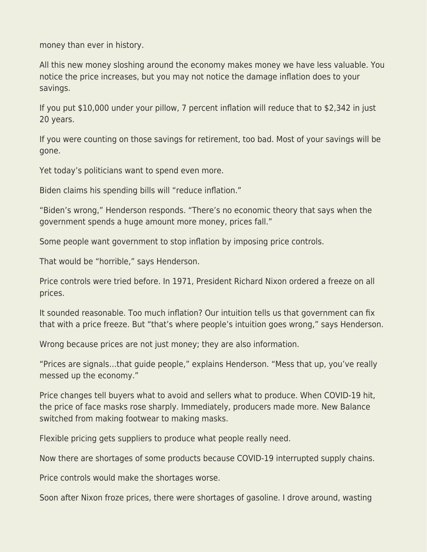money than ever in history.

All this new money sloshing around the economy makes money we have less valuable. You notice the price increases, but you may not notice the damage inflation does to your savings.

If you put \$10,000 under your pillow, 7 percent inflation will reduce that to \$2,342 in just 20 years.

If you were counting on those savings for retirement, too bad. Most of your savings will be gone.

Yet today's politicians want to spend even more.

Biden claims his spending bills will "reduce inflation."

"Biden's wrong," Henderson responds. "There's no economic theory that says when the government spends a huge amount more money, prices fall."

Some people want government to stop inflation by imposing price controls.

That would be "horrible," says Henderson.

Price controls were tried before. In 1971, President Richard Nixon ordered a freeze on all prices.

It sounded reasonable. Too much inflation? Our intuition tells us that government can fix that with a price freeze. But "that's where people's intuition goes wrong," says Henderson.

Wrong because prices are not just money; they are also information.

"Prices are signals…that guide people," explains Henderson. "Mess that up, you've really messed up the economy."

Price changes tell buyers what to avoid and sellers what to produce. When COVID-19 hit, the price of face masks rose sharply. Immediately, producers made more. New Balance switched from making footwear to making masks.

Flexible pricing gets suppliers to produce what people really need.

Now there are shortages of some products because COVID-19 interrupted supply chains.

Price controls would make the shortages worse.

Soon after Nixon froze prices, there were shortages of gasoline. I drove around, wasting